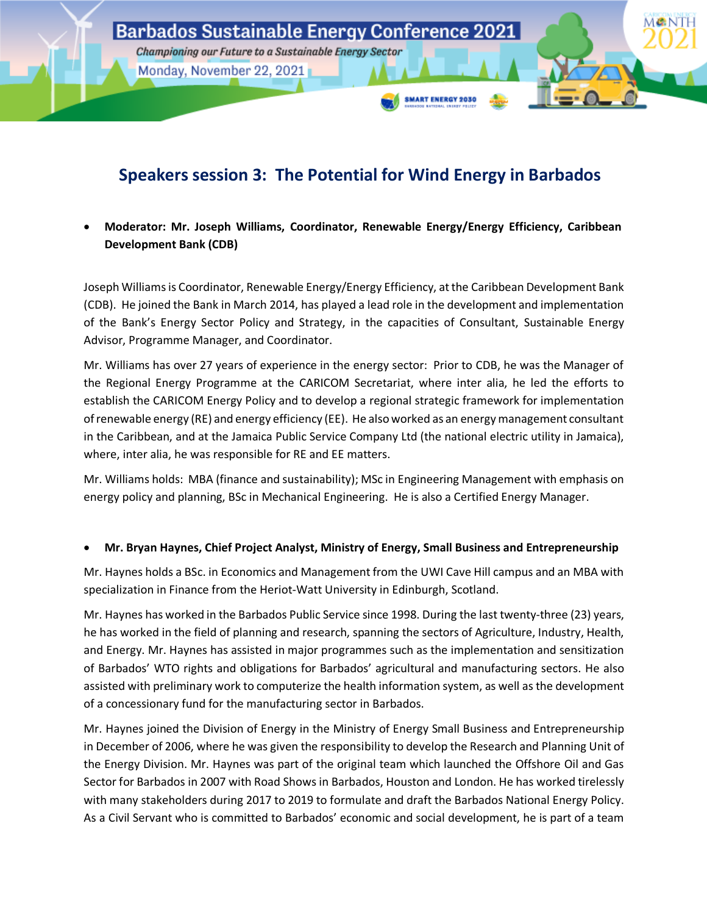

# **Speakers session 3: The Potential for Wind Energy in Barbados**

• **Moderator: Mr. Joseph Williams, Coordinator, Renewable Energy/Energy Efficiency, Caribbean Development Bank (CDB)**

Joseph Williams is Coordinator, Renewable Energy/Energy Efficiency, at the Caribbean Development Bank (CDB). He joined the Bank in March 2014, has played a lead role in the development and implementation of the Bank's Energy Sector Policy and Strategy, in the capacities of Consultant, Sustainable Energy Advisor, Programme Manager, and Coordinator.

Mr. Williams has over 27 years of experience in the energy sector: Prior to CDB, he was the Manager of the Regional Energy Programme at the CARICOM Secretariat, where inter alia, he led the efforts to establish the CARICOM Energy Policy and to develop a regional strategic framework for implementation of renewable energy (RE) and energy efficiency (EE). He also worked as an energy management consultant in the Caribbean, and at the Jamaica Public Service Company Ltd (the national electric utility in Jamaica), where, inter alia, he was responsible for RE and EE matters.

Mr. Williams holds: MBA (finance and sustainability); MSc in Engineering Management with emphasis on energy policy and planning, BSc in Mechanical Engineering. He is also a Certified Energy Manager.

#### • **Mr. Bryan Haynes, Chief Project Analyst, Ministry of Energy, Small Business and Entrepreneurship**

Mr. Haynes holds a BSc. in Economics and Management from the UWI Cave Hill campus and an MBA with specialization in Finance from the Heriot-Watt University in Edinburgh, Scotland.

Mr. Haynes has worked in the Barbados Public Service since 1998. During the last twenty-three (23) years, he has worked in the field of planning and research, spanning the sectors of Agriculture, Industry, Health, and Energy. Mr. Haynes has assisted in major programmes such as the implementation and sensitization of Barbados' WTO rights and obligations for Barbados' agricultural and manufacturing sectors. He also assisted with preliminary work to computerize the health information system, as well as the development of a concessionary fund for the manufacturing sector in Barbados.

Mr. Haynes joined the Division of Energy in the Ministry of Energy Small Business and Entrepreneurship in December of 2006, where he was given the responsibility to develop the Research and Planning Unit of the Energy Division. Mr. Haynes was part of the original team which launched the Offshore Oil and Gas Sector for Barbados in 2007 with Road Shows in Barbados, Houston and London. He has worked tirelessly with many stakeholders during 2017 to 2019 to formulate and draft the Barbados National Energy Policy. As a Civil Servant who is committed to Barbados' economic and social development, he is part of a team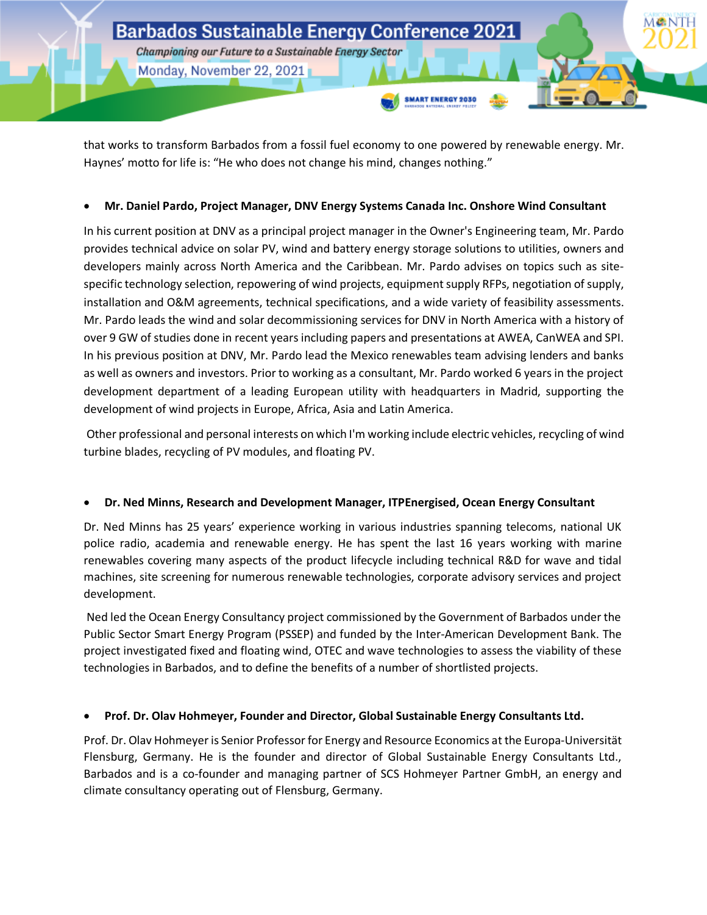

that works to transform Barbados from a fossil fuel economy to one powered by renewable energy. Mr. Haynes' motto for life is: "He who does not change his mind, changes nothing."

#### • **Mr. Daniel Pardo, Project Manager, DNV Energy Systems Canada Inc. Onshore Wind Consultant**

In his current position at DNV as a principal project manager in the Owner's Engineering team, Mr. Pardo provides technical advice on solar PV, wind and battery energy storage solutions to utilities, owners and developers mainly across North America and the Caribbean. Mr. Pardo advises on topics such as sitespecific technology selection, repowering of wind projects, equipment supply RFPs, negotiation of supply, installation and O&M agreements, technical specifications, and a wide variety of feasibility assessments. Mr. Pardo leads the wind and solar decommissioning services for DNV in North America with a history of over 9 GW of studies done in recent years including papers and presentations at AWEA, CanWEA and SPI. In his previous position at DNV, Mr. Pardo lead the Mexico renewables team advising lenders and banks as well as owners and investors. Prior to working as a consultant, Mr. Pardo worked 6 years in the project development department of a leading European utility with headquarters in Madrid, supporting the development of wind projects in Europe, Africa, Asia and Latin America.

Other professional and personal interests on which I'm working include electric vehicles, recycling of wind turbine blades, recycling of PV modules, and floating PV.

### • **Dr. Ned Minns, Research and Development Manager, ITPEnergised, Ocean Energy Consultant**

Dr. Ned Minns has 25 years' experience working in various industries spanning telecoms, national UK police radio, academia and renewable energy. He has spent the last 16 years working with marine renewables covering many aspects of the product lifecycle including technical R&D for wave and tidal machines, site screening for numerous renewable technologies, corporate advisory services and project development.

Ned led the Ocean Energy Consultancy project commissioned by the Government of Barbados under the Public Sector Smart Energy Program (PSSEP) and funded by the Inter-American Development Bank. The project investigated fixed and floating wind, OTEC and wave technologies to assess the viability of these technologies in Barbados, and to define the benefits of a number of shortlisted projects.

### • **Prof. Dr. Olav Hohmeyer, Founder and Director, Global Sustainable Energy Consultants Ltd.**

Prof. Dr. Olav Hohmeyer is Senior Professor for Energy and Resource Economics at the Europa-Universität Flensburg, Germany. He is the founder and director of Global Sustainable Energy Consultants Ltd., Barbados and is a co-founder and managing partner of SCS Hohmeyer Partner GmbH, an energy and climate consultancy operating out of Flensburg, Germany.